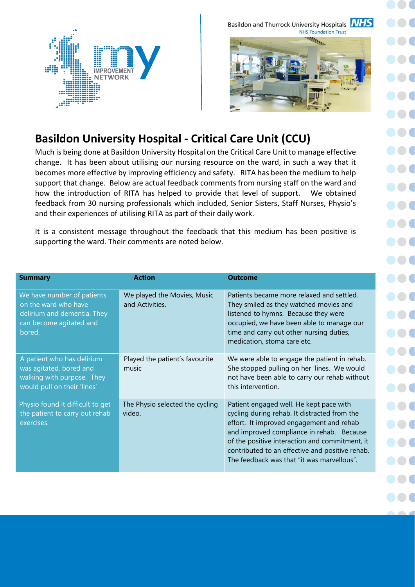Basildon and Thurrock University Hospitals **NHS NHS Foundation Trust** 



## **Basildon University Hospital - Critical Care Unit (CCU)**

Much is being done at Basildon University Hospital on the Critical Care Unit to manage effective change. It has been about utilising our nursing resource on the ward, in such a way that it becomes more effective by improving efficiency and safety. RITA has been the medium to help support that change. Below are actual feedback comments from nursing staff on the ward and how the introduction of RITA has helped to provide that level of support. We obtained feedback from 30 nursing professionals which included, Senior Sisters, Staff Nurses, Physio's and their experiences of utilising RITA as part of their daily work.

It is a consistent message throughout the feedback that this medium has been positive is supporting the ward. Their comments are noted below.

| <b>Summary</b>                                                                                                         | <b>Action</b>                                  | <b>Outcome</b>                                                                                                                                                                                                                                                                                                                      |  |
|------------------------------------------------------------------------------------------------------------------------|------------------------------------------------|-------------------------------------------------------------------------------------------------------------------------------------------------------------------------------------------------------------------------------------------------------------------------------------------------------------------------------------|--|
| We have number of patients<br>on the ward who have<br>delirium and dementia. They<br>can become agitated and<br>bored. | We played the Movies, Music<br>and Activities. | Patients became more relaxed and settled.<br>They smiled as they watched movies and<br>listened to hymns. Because they were<br>occupied, we have been able to manage our<br>time and carry out other nursing duties,<br>medication, stoma care etc.                                                                                 |  |
| A patient who has delirium<br>was agitated, bored and<br>walking with purpose. They<br>would pull on their 'lines'     | Played the patient's favourite<br>music        | We were able to engage the patient in rehab.<br>She stopped pulling on her 'lines. We would<br>not have been able to carry our rehab without<br>this intervention.                                                                                                                                                                  |  |
| Physio found it difficult to get<br>the patient to carry out rehab<br>exercises.                                       | The Physio selected the cycling<br>video.      | Patient engaged well. He kept pace with<br>cycling during rehab. It distracted from the<br>effort. It improved engagement and rehab<br>and improved compliance in rehab. Because<br>of the positive interaction and commitment, it<br>contributed to an effective and positive rehab.<br>The feedback was that "it was marvellous". |  |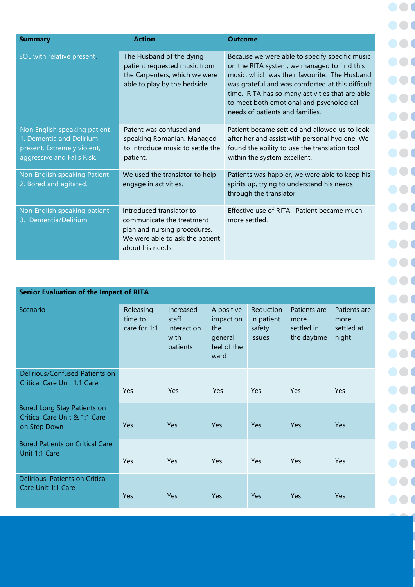| <b>Summary</b>                                                                                                        | <b>Action</b>                                                                                                                                | <b>Outcome</b>                                                                                                                                                                                                                                                                                                                       |
|-----------------------------------------------------------------------------------------------------------------------|----------------------------------------------------------------------------------------------------------------------------------------------|--------------------------------------------------------------------------------------------------------------------------------------------------------------------------------------------------------------------------------------------------------------------------------------------------------------------------------------|
| EOL with relative present.                                                                                            | The Husband of the dying<br>patient requested music from<br>the Carpenters, which we were<br>able to play by the bedside.                    | Because we were able to specify specific music<br>on the RITA system, we managed to find this<br>music, which was their favourite. The Husband<br>was grateful and was comforted at this difficult<br>time. RITA has so many activities that are able<br>to meet both emotional and psychological<br>needs of patients and families. |
| Non English speaking patient<br>1. Dementia and Delirium<br>present. Extremely violent,<br>aggressive and Falls Risk. | Patent was confused and<br>speaking Romanian. Managed<br>to introduce music to settle the<br>patient.                                        | Patient became settled and allowed us to look<br>after her and assist with personal hygiene. We<br>found the ability to use the translation tool<br>within the system excellent.                                                                                                                                                     |
| Non English speaking Patient<br>2. Bored and agitated.                                                                | We used the translator to help<br>engage in activities.                                                                                      | Patients was happier, we were able to keep his<br>spirits up, trying to understand his needs<br>through the translator.                                                                                                                                                                                                              |
| Non English speaking patient<br>3. Dementia/Delirium                                                                  | Introduced translator to<br>communicate the treatment<br>plan and nursing procedures.<br>We were able to ask the patient<br>about his needs. | Effective use of RITA. Patient became much<br>more settled.                                                                                                                                                                                                                                                                          |

| <b>Senior Evaluation of the Impact of RITA</b>                               |                                      |                                                       |                                                                  |                                             |                                                   |                                             |  |  |
|------------------------------------------------------------------------------|--------------------------------------|-------------------------------------------------------|------------------------------------------------------------------|---------------------------------------------|---------------------------------------------------|---------------------------------------------|--|--|
| Scenario                                                                     | Releasing<br>time to<br>care for 1:1 | Increased<br>staff<br>interaction<br>with<br>patients | A positive<br>impact on<br>the<br>general<br>feel of the<br>ward | Reduction<br>in patient<br>safety<br>issues | Patients are<br>more<br>settled in<br>the daytime | Patients are<br>more<br>settled at<br>night |  |  |
| Delirious/Confused Patients on<br><b>Critical Care Unit 1:1 Care</b>         | Yes                                  | Yes                                                   | <b>Yes</b>                                                       | Yes                                         | Yes                                               | Yes                                         |  |  |
| Bored Long Stay Patients on<br>Critical Care Unit & 1:1 Care<br>on Step Down | Yes                                  | Yes                                                   | Yes                                                              | Yes                                         | Yes                                               | Yes                                         |  |  |
| <b>Bored Patients on Critical Care</b><br>Unit 1:1 Care                      | Yes                                  | Yes                                                   | Yes                                                              | Yes                                         | Yes                                               | Yes                                         |  |  |
| Delirious   Patients on Critical<br>Care Unit 1:1 Care                       | Yes                                  | Yes                                                   | Yes                                                              | Yes                                         | Yes                                               | Yes                                         |  |  |